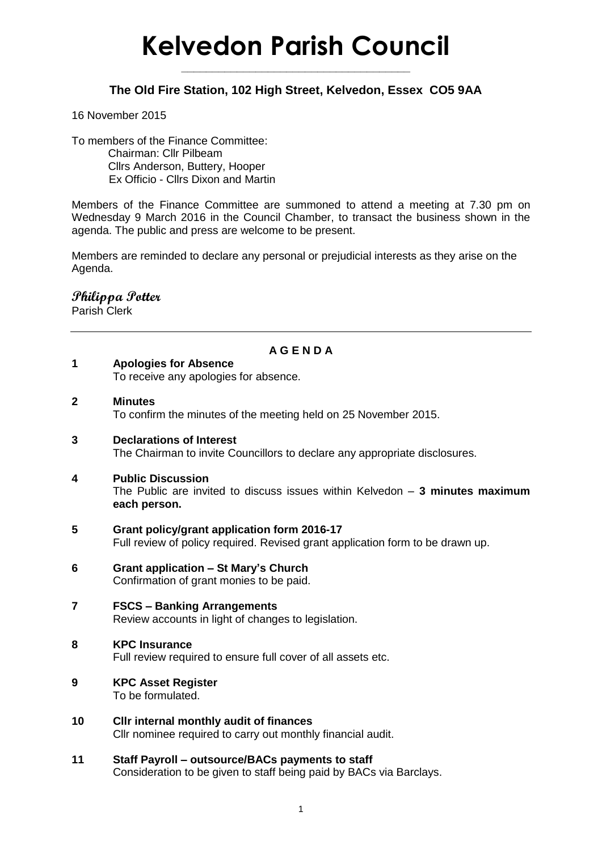# **Kelvedon Parish Council**

**\_\_\_\_\_\_\_\_\_\_\_\_\_\_\_\_\_\_\_\_\_\_\_\_\_\_\_\_\_\_\_\_\_\_\_\_\_**

## **The Old Fire Station, 102 High Street, Kelvedon, Essex CO5 9AA**

#### 16 November 2015

To members of the Finance Committee: Chairman: Cllr Pilbeam Cllrs Anderson, Buttery, Hooper Ex Officio - Cllrs Dixon and Martin

Members of the Finance Committee are summoned to attend a meeting at 7.30 pm on Wednesday 9 March 2016 in the Council Chamber, to transact the business shown in the agenda. The public and press are welcome to be present.

Members are reminded to declare any personal or prejudicial interests as they arise on the Agenda.

## **Philippa Potter**

Parish Clerk

### **A G E N D A**

- **1 Apologies for Absence**
	- To receive any apologies for absence.
- **2 Minutes**

To confirm the minutes of the meeting held on 25 November 2015.

**3 Declarations of Interest**

The Chairman to invite Councillors to declare any appropriate disclosures.

#### **4 Public Discussion**

The Public are invited to discuss issues within Kelvedon – **3 minutes maximum each person.**

- **5 Grant policy/grant application form 2016-17** Full review of policy required. Revised grant application form to be drawn up.
- **6 Grant application – St Mary's Church** Confirmation of grant monies to be paid.
- **7 FSCS – Banking Arrangements** Review accounts in light of changes to legislation.
- **8 KPC Insurance**  Full review required to ensure full cover of all assets etc.
- **9 KPC Asset Register**  To be formulated.
- **10 Cllr internal monthly audit of finances** Cllr nominee required to carry out monthly financial audit.
- **11 Staff Payroll – outsource/BACs payments to staff** Consideration to be given to staff being paid by BACs via Barclays.